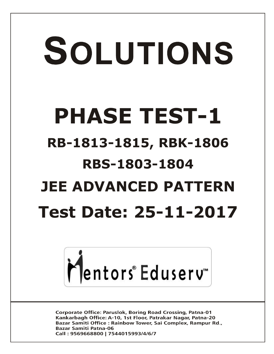# SOLUTIONS **PHASE TEST-1 RB-1813-1815, RBK-1806 RBS-1803-1804 JEE ADVANCED PATTERN Test Date: 25-11-2017**



**Corporate Office: Paruslok, Boring Road Crossing, Patna-01** Kankarbagh Office: A-10, 1st Floor, Patrakar Nagar, Patna-20 Bazar Samiti Office: Rainbow Tower, Sai Complex, Rampur Rd., **Bazar Samiti Patna-06** Call: 9569668800 | 7544015993/4/6/7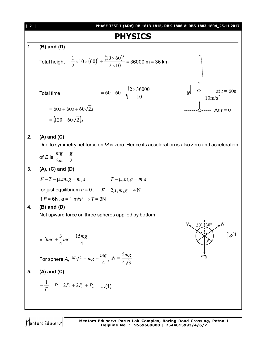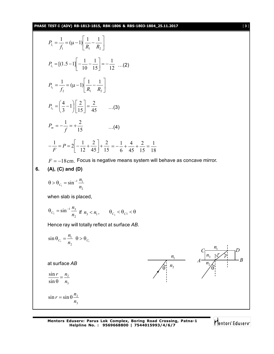$$
P_{i_1} = \frac{1}{f_1} = (\mu - 1) \left[ \frac{1}{R_1} - \frac{1}{R_2} \right]
$$
  
\n
$$
P_{i_1} = [(1.5 - 1) \left[ -\frac{1}{10} - \frac{1}{15} \right] = -\frac{1}{12} \dots (2)
$$
  
\n
$$
P_{i_2} = \frac{1}{f_2} = (\mu - 1) \left[ \frac{1}{R_1} - \frac{1}{R_2} \right]
$$
  
\n
$$
P_{i_3} = \left( \frac{4}{3} - 1 \right) \left[ \frac{2}{15} \right] = \frac{2}{45} \dots (3)
$$
  
\n
$$
P_m = -\frac{1}{f} = +\frac{2}{15} \dots (4)
$$
  
\n
$$
-\frac{1}{F} = P = 2 \left[ -\frac{1}{12} + \frac{2}{45} \right] + \frac{2}{15} = -\frac{1}{6} + \frac{4}{45} + \frac{2}{15} = \frac{1}{18}
$$
  
\n $F = -18$ cm. Focus is negative means system will behave as concave mirror.  
\n**6.** (A), (C) and (D)  
\n
$$
0 > 0_{C_1} = \sin^{-1} \frac{n_1}{n_2}
$$
  
\nwhen slab is placed,  
\n
$$
0_{C_2} = \sin^{-1} \frac{n_1}{n_2} \text{ if } n_3 < n_1, \quad \theta_{C_2} < \theta_{C_1} < \theta
$$
  
\nHence ray will totally reflect at surface AB.  
\n
$$
\sin \theta_{C_1} = \frac{n_1}{n_2} \quad \theta > 0_{C_1}
$$
  
\nat surface AB  
\n
$$
\frac{\sin r}{\sin \theta} = \frac{n_2}{n_3}
$$
  
\n
$$
\sin r = \sin \theta \frac{n_2}{n_3}
$$

Mentors<sup>e</sup> Eduserv<sup>-</sup>

 $n<sub>1</sub>$ 

*r*

 $\theta$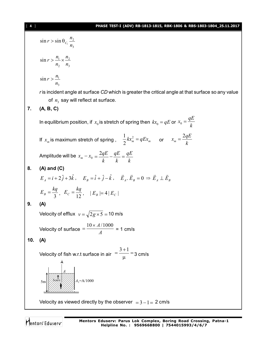3 2  $\sin r > \sin \theta_{C_1}$ *n*  $r > \sin \theta_{C_1} \frac{n}{r}$ 3 2 2  $\sin r > \frac{n_1}{n_2}$ *n n n*  $r > \frac{n_1}{n_2} \times$ 3  $\sin r > \frac{n_1}{n_2}$ *n*  $r > \frac{n}{2}$ *r* is incident angle at surface *CD* which is greater the critical angle at that surface so any value of  $n_{\text{3}}$  say will reflect at surface. **7. (A, B, C)** In equilibrium position, if  $x_0$  is stretch of spring then  $kx_0 = qE$  or  $x_0 = \frac{qE}{k}$  $x_0 = \frac{qE}{l}$ If  $x_m$  is maximum stretch of spring ,  $\frac{1}{2}kx_m^2 = qEx_m$ 2 1 or  $x_m = \frac{1}{k}$  $x_m = \frac{2qE}{l}$ Amplitude will be  $x_m - x_0$ *k qE k qE k*  $=\frac{2qE}{I}-\frac{qE}{I}=$ **8. (A) and (C)**  $E_A = i + 2\hat{j} + 3\hat{k}$ ,  $E_B = \hat{i} + \hat{j} - \hat{k}$ ,  $\vec{E}_A \cdot \vec{E}_B = 0$  $\Rightarrow$   $E_A \perp E_B$  $\rightarrow$  $\perp$  $E_B = \frac{kq}{3}, E_C = \frac{kq}{12}, |E_B| = 4 |E_C|$ **9. (A)** Velocity of efflux  $v = \sqrt{2g \times 5} = 10$  m/s Velocity of surface  $\overline{a} = \overline{a}$  $=\frac{10 \times A/1000}{4}$  = 1 cm/s **10. (A)** Velocity of fish w.r.t surface in air  $=$   $\frac{3+1}{\mu}$  =  $=\frac{3+1}{2}$ 3 cm/s  $5m$ j.  $4<sub>1</sub>=A/1000$ *A* Velocity as viewed directly by the observer  $= 3 - 1 = 2$  cm/s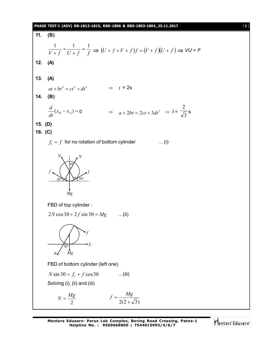### **PHASE TEST-I (ADV) RB-1813-1815, RBK-1806 & RBS-1803-1804\_25.11.2017** [ **5** ]

**11. (B)**  $V + f$   $U + f$   $f$  $\frac{1}{a} + \frac{1}{b} = \frac{1}{a}$  $^{+}$  $\ddot{}$  $\frac{1}{f} + f \cdot \frac{1}{U + f} = \frac{1}{f} \Rightarrow (U + f + V + f)f = (V + f)(U + f) \Rightarrow \forall U = f^2$ **12. (A) 13. (A)**  $at + bt^2 = ct^2 + dt^3$   $\Rightarrow t = 2s$ **14. (B)**  $(x_{B} - x_{A}) =$ *dt d* 0  $\Rightarrow$   $a + 2bt = 2ct + 3dt^2 \Rightarrow t = \frac{\sqrt{3}}{\sqrt{3}}$ 2 s **15. (D) 16. (C)**  $f_1 = f$  for no rotation of bottom cylinder  $\dots(i)$ *Mg f*  $N_{\bullet}$   $\bullet$  *N* 30° 30°  $30^\circ$ *f* FBD of top cylinder :  $2N \cos 30 + 2f \sin 30 = Mg$  ...(ii) *N Mg* 30° *f f*1 FBD of bottom cylinder (left one)  $N \sin 30 = f_1 + f \cos 30$  ...(iii) Solving (i), (ii) and (iii) 2  $N = \frac{Mg}{g}$  $2(2+\sqrt{3})$  $f = \frac{Mg}{\sqrt{g}}$ 

Mentors Eduserv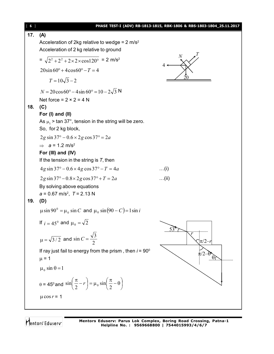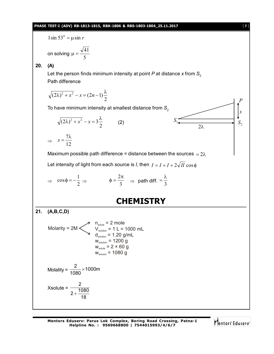## **PHASE TEST-I (ADV) RB-1813-1815, RBK-1806 & RBS-1803-1804\_25.11.2017** [ **7** ]

 $1\sin 53^\circ = \mu \sin r$ 

on solving 5  $\mu = \frac{\sqrt{41}}{4}$ 

## **20. (A)**

Let the person finds minimum intensity at point  $P$  at distance  $x$  from  $S$ <sub>2</sub> Path difference

$$
\sqrt{(2\lambda)^2 + x^2} - x = (2n - 1)\frac{\lambda}{2}
$$

To have minimum intensity at smallest distance from S<sub>2</sub>

$$
\sqrt{\left(2\lambda\right)^{2}+x^{2}}-x=3\frac{\lambda}{2}
$$
 (2)

 $\Rightarrow$   $x = \frac{1}{12}$  $x = \frac{7\lambda}{12}$ 

Maximum possible path difference = distance between the sources  $= 2\lambda$ 

Let intensity of light from each source is *I*, then  $I = I + I + 2\sqrt{II} \cos \phi$ 

$$
\Rightarrow \cos \phi = -\frac{1}{2} \Rightarrow \qquad \phi = \frac{2\pi}{3} \Rightarrow \text{path diff.} = \frac{\lambda}{3}
$$

## **CHEMISTRY**

**21. (A,B,C,D)**

Molarity = 2M

\n
$$
n_{\text{solute}} = 2 \text{ mole}
$$
\n
$$
V_{\text{solution}} = 1 \text{ L} = 1000 \text{ mL}
$$
\n
$$
d_{\text{solution}} = 1.20 \text{ g/mL}
$$
\n
$$
W_{\text{solution}} = 1200 \text{ g}
$$
\n
$$
W_{\text{solute}} = 2 \times 60 \text{ g}
$$
\n
$$
W_{\text{solute}} = 1080 \text{ g}
$$
\nMolality: 2

\n
$$
1000 \text{ m}
$$

Molality = 
$$
\frac{2}{1080} \times 1000 \text{m}
$$

$$
X\text{solute} = \frac{2}{2 + \frac{1080}{18}}
$$

Mentors Eduserv

*x*

*P*

 $S<sub>2</sub>$ 

 $2\lambda$ 

 $S_1$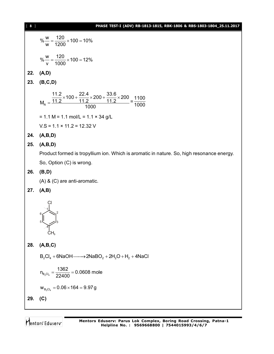| $[ 8 ]$ | PHASE TEST-I (ADV) RB-1813-1815, RBK-1806 & RBS-1803-1804_25.11.2017                                                                |
|---------|-------------------------------------------------------------------------------------------------------------------------------------|
|         | % $\frac{W}{W} = \frac{120}{1200} \times 100 = 10\%$                                                                                |
|         | % $\frac{w}{v} = \frac{120}{1000} \times 100 = 12\%$                                                                                |
| 22.     | (A, D)                                                                                                                              |
| 23.     | (B, C, D)                                                                                                                           |
|         | $M_R = \frac{\frac{11.2}{11.2} \times 100 + \frac{22.4}{11.2} \times 200 + \frac{33.6}{11.2} \times 200}{1000} = \frac{1100}{1000}$ |
|         | $= 1.1 M = 1.1 mol/L = 1.1 \times 34 g/L$                                                                                           |
|         | $VS = 1.1 \times 11.2 = 12.32$ V                                                                                                    |
| 24.     | (A,B,D)                                                                                                                             |
| 25.     | (A,B,D)                                                                                                                             |
|         | Product formed is tropyllium ion. Which is aromatic in nature. So, high resonance energy.                                           |
|         | So, Option (C) is wrong.                                                                                                            |
| 26.     | (B,D)                                                                                                                               |
|         | (A) & (C) are anti-aromatic.                                                                                                        |
| 27.     | (A,B)                                                                                                                               |
|         | CH,                                                                                                                                 |
| 28.     | (A,B,C)                                                                                                                             |
|         | $B_2Cl_4 + 6NaOH \longrightarrow 2NaBO_2 + 2H_2O + H_2 + 4NaCl$                                                                     |
|         | $n_{B_2Cl_4} = \frac{1362}{22400} = 0.0608$ mole                                                                                    |
|         | $W_{B_2Cl_4} = 0.06 \times 164 = 9.97 g$                                                                                            |
| 29.     | (C)                                                                                                                                 |
|         |                                                                                                                                     |

Mentors<sup>®</sup> Eduserv<sup>®</sup>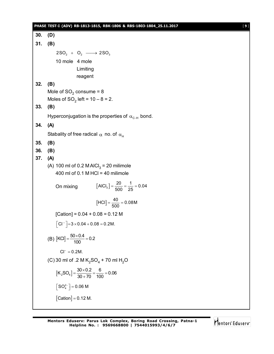|     | PHASE TEST-I (ADV) RB-1813-1815, RBK-1806 & RBS-1803-1804_25.11.2017  | $[9]$ |
|-----|-----------------------------------------------------------------------|-------|
| 30. | (D)                                                                   |       |
| 31. | (B)                                                                   |       |
|     | $2SO_2 + O_2 \longrightarrow 2SO_3$                                   |       |
|     | 10 mole 4 mole                                                        |       |
|     | Limiting                                                              |       |
|     | reagent                                                               |       |
| 32. | (B)<br>Mole of $SO_2$ consume = 8                                     |       |
|     | Moles of $SO_2$ left = $10 - 8 = 2$ .                                 |       |
| 33. | (B)                                                                   |       |
|     | Hyperconjugation is the properties of $\alpha_{C-H}$ bond.            |       |
| 34. | (A)                                                                   |       |
|     | Stabality of free radical $\alpha$ no. of $\alpha_{\rm H}$            |       |
| 35. | (B)                                                                   |       |
| 36. | (B)                                                                   |       |
| 37. | (A)                                                                   |       |
|     | (A) 100 ml of 0.2 M AlCl <sub>3</sub> = 20 milimole                   |       |
|     | 400 ml of 0.1 M HCl = 40 milimole                                     |       |
|     | $[AICI3] = \frac{20}{500} = \frac{1}{25} = 0.04$<br>On mixing         |       |
|     | $[HCI] = \frac{40}{500} = 0.08M$                                      |       |
|     | [Cation] = $0.04 + 0.08 = 0.12$ M                                     |       |
|     | $\left[ \text{CI}^{-} \right] = 3 \times 0.04 + 0.08 = 0.2 \text{M}.$ |       |
|     | (B) $[KCI] = \frac{50 \times 0.4}{100} = 0.2$                         |       |
|     | $Cl^{-} = 0.2M$ .                                                     |       |
|     | (C) 30 ml of .2 M $K_2SO_4$ + 70 ml H <sub>2</sub> O                  |       |
|     | $[K_2SO_4] = \frac{30 \times 0.2}{30 + 70} = \frac{6}{100} = 0.06$    |       |
|     | $\left\lceil SO_4^{2-} \right\rceil = 0.06$ M                         |       |
|     | $[Cation] = 0.12 M.$                                                  |       |
|     |                                                                       |       |

Mentors<sup>e</sup> Eduserv<sup>-</sup>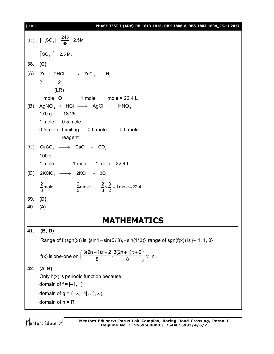## [ **10** ] **PHASE TEST-I (ADV) RB-1813-1815, RBK-1806 & RBS-1803-1804\_25.11.2017**

(D)  $[H_2SO_4] = \frac{245}{98} = 2.5M$  $\left\lfloor SO_{4}^{-} \right\rfloor$  = 2.5 M. **38. (C)** (A)  $Zn + 2HCl \longrightarrow ZnCl_2 + H_2$ 2 2 (LR) 1 mole 0 1 mole 1 mole = 22.4 L (B)  $\text{AgNO}_3$  + HCl  $\longrightarrow$  AgCl + HNO<sub>3</sub> 170 g 18.25 1 mole 0.5 mole 0.5 mole Limiting 0.5 mole 0.5 mole reagent (C)  $CaCO_3 \longrightarrow CaO + CO_2$ 100 g 1 mole 1 mole 1 mole = 22.4 L (D)  $2KClO_3 \longrightarrow 2KCl + 3O_2$  $\frac{2}{3}$ mole  $\frac{2}{3}$ mole  $\frac{2}{3} \times \frac{3}{2} = 1$ mole = 22.4 L. **39. (D) 40. (A) MATHEMATICS 41. (B, D)** Range of f (sgn(x)) is  $\{\sin 1, -\sin(5 / 3), -\sin(1 / 3)\}$  range of sgn(f(x)) is  $\{-1, 1, 0\}$ f(x) is one-one on  $\frac{3(2n-1)\pi+2}{2}$ ,  $\frac{3(2n+1)\pi+2}{2}$  $\left(\frac{3(2n-1)\pi+2}{8}, \frac{3(2n+1)\pi+2}{8}\right)$   $\forall$  n  $\in$  1 **42. (A, B)** Only h(x) is periodic function because domain of  $f = [-1, 1]$ domain of  $g = (-\infty, -1] \cup [1, \infty)$ domain of  $h = R$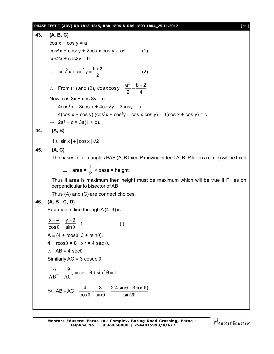## **PHASE TEST-I (ADV) RB-1813-1815, RBK-1806 & RBS-1803-1804\_25.11.2017** [ **11** ]

43. (A, B, C)  
\n
$$
cos x + cos y = a
$$
\n
$$
cos^{2}x + cos^{2}y + 2cos x cos y = a^{2}
$$
\n....(1)  
\n
$$
cos^{2}x + cos^{2}y = b
$$
\n
$$
cos^{2}x + cos^{2}y = \frac{b+2}{2}
$$
\n....(2)  
\n∴ From (1) and (2), 
$$
cos x cos y = \frac{a^{2}}{2} - \frac{b+2}{4}
$$
  
\nNow, 
$$
cos 3x + cos 3y = c
$$
\n∴ 
$$
4cos^{3}x - 3cos x + 4cos^{3}y - 3cos y = c
$$
\n
$$
4(cos x + cos y) (cos^{2}x + cos^{2}y - cos x cos y) - 3(cos x + cos y) = c
$$
\n
$$
4(2cos x + cos y) (cos^{2}x + cos^{2}y - cos x cos y) - 3(cos x + cos y) = c
$$
\n
$$
2a^{3} + c = 3a(1 + b).
$$
\n1≤|sin x|+|cos x| $\sqrt{2}$   
\n45. (A, C)  
\nThe bases of all triangles PAB (A, B fixed P moving indeed A, B, P lie on a circle) will be fixed  
\n⇒ area =  $\frac{1}{2} \times base \times height$   
\nThus if area is maximum then height must be maximum which will be true if P lies on  
\nperpendicular to bisector of AB.  
\nThus (A) and (C) are connected choices.  
\n46. (A, B, C, D)  
\nEquation of line through A(4, 3) is  
\n
$$
\frac{x-4}{cos0} = \frac{y-3}{sin0} = r
$$
\n....(i)  
\nA = (4 + rocs0, 3 + rsin0).  
\n4 + rocs0 = 8 ⇒ r = 4 sec 0.  
\n
$$
\therefore AB = 4 sec0.
$$
  
\nSimilarly AC = 3 cosec 0  
\n
$$
\frac{16}{\Delta B^{2}} + \frac{9}{\Delta C^{2}} = cos^{2} 0 + sin^{2} 0 = 1
$$
  
\nSo AB + AC =  $\frac{4}{cos\theta} + sin\theta = \frac{2(4sin\theta + 3cos\theta)}{sin\theta}$ 

Mentors<sup>e</sup> Eduserv<sup>-</sup>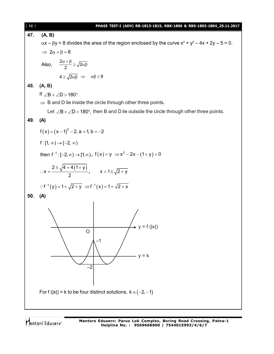

**47. (A, B)**  $\alpha$ x –  $\beta$ y = 8 divides the area of the region enclosed by the curve x<sup>2</sup> + y<sup>2</sup> – 4x + 2y – 5 = 0.  $\Rightarrow$  2 $\alpha + \beta = 8$ Also,  $\frac{2\alpha+\beta}{2} \ge \sqrt{2\alpha\beta}$  $4 \ge \sqrt{2\alpha\beta} \Rightarrow \alpha\beta \le 8$ **48. (A, B)** If  $\angle B + \angle D > 180^\circ$  $\Rightarrow$  B and D lie inside the circle through other three points. Let  $\angle B + \angle D < 180^\circ$ , then B and D lie outside the circle through other three points. **49. (A)**  $f(x) = (x-1)^2 - 2$ , a = 1, b = -2 f :  $[1, \infty) \rightarrow [-2, \infty)$ then  $f^{-1}: [-2, \infty) \to [1, \infty)$ ,  $f(x) = y \implies x^2 - 2x - (1 + y) = 0$  $2 \pm \sqrt{4 + 4(1 + y)}$ x 2  $\pm \sqrt{4+4(1+)}$  $\therefore x = \frac{y}{2}$ ,  $x = 1 \pm \sqrt{2 + y}$  $\therefore$  f<sup>-1</sup>(y) = 1 +  $\sqrt{2+y}$   $\Rightarrow$  f<sup>-1</sup>(x) = 1 +  $\sqrt{2+x}$ **50. (A)** –1 O –2  $= f (|x|)$  $y = k$ For f (|x|) = k to be four distinct solutions,  $k \in (-2, -1)$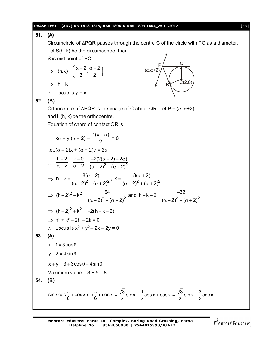## **PHASE TEST-I (ADV) RB-1813-1815, RBK-1806 & RBS-1803-1804\_25.11.2017** [ **13** ]

**51. (A)** Circumcircle of  $\triangle PQR$  passes through the centre C of the circle with PC as a diameter. Let S(h, k) be the circumcentre, then S is mid point of PC  $(h,k) = \left(\frac{\alpha+2}{2}, \frac{\alpha+2}{2}\right)$  $2 \t2$  $\Rightarrow$  (h,k) =  $\left(\frac{\alpha+2}{2}, \frac{\alpha+2}{2}\right)$ R P Q  $C(2,0)$  $(\alpha, \alpha+2)$  $\Rightarrow h = k$  $\therefore$  Locus is  $y = x$ . **52. (B)** Orthocentre of  $\triangle PQR$  is the image of C about QR. Let  $P = (\alpha, \alpha+2)$ and H(h, k) be the orthocentre. Equation of chord of contact QR is  $x\alpha + y(\alpha + 2) 4(x + \alpha)$ 2  $+\alpha)$  $= 0$ i.e.,  $(\alpha - 2)x + (\alpha + 2)y = 2\alpha$  $\therefore \frac{\alpha-2}{\alpha-2} = \frac{\alpha+2}{\alpha-2} = \frac{2}{(\alpha-2)^2 + (\alpha-2)^2}$ h  $-2$  k  $-0$   $-2(2(\alpha - 2) - 2\alpha)$ 2  $\alpha + 2 (\alpha - 2)^2 + (\alpha + 2)$  $\frac{-2}{2} = \frac{k-0}{2} = \frac{-2(2(\alpha-2)-2\alpha)}{2}$  $\alpha - 2 \quad \alpha + 2 \quad (\alpha - 2)^2 + (\alpha + 2)^2$  $\Rightarrow h-2=\frac{8(\alpha-2)}{(\alpha-2)^2+(\alpha+2)^2}, k=\frac{8(\alpha+2)}{(\alpha-2)^2+(\alpha+2)^2}$  $(\alpha - 2)^2 + (\alpha + 2)^2$   $(\alpha - 2)^2 + (\alpha + 2)^2$  $-2 = \frac{8(\alpha - 2)}{2}, k = \frac{8(\alpha + 2)}{2}$  $(\alpha - 2)^2 + (\alpha + 2)^2$   $(\alpha - 2)^2 + (\alpha + 2)^2$ ⇒  $(h-2)^2 + k^2 = \frac{64}{(g-2)^2 + (g+2)^2}$  and  $h-k-2 = \frac{-32}{(g-2)^2 + (g+2)^2}$  $(\alpha - 2)^2 + (\alpha + 2)^2$   $(\alpha - 2)^2 + (\alpha + 2)^2$  $(-2)^2 + k^2 = \frac{64}{2}$  and h-k-2= $\frac{2}{2}$  $(\alpha - 2)^2 + (\alpha + 2)^2$   $(\alpha - 2)^2 + (\alpha + 2)^2$  $\Rightarrow$   $(h-2)^2 + k^2 = -2(h-k-2)$  $\Rightarrow$  h<sup>2</sup> + k<sup>2</sup> – 2h – 2k = 0 ∴ Locus is  $x^2 + y^2 - 2x - 2y = 0$ **53 (A)**  $x - 1 = 3\cos\theta$  $y - 2 = 4 \sin \theta$  $x + y = 3 + 3\cos\theta + 4\sin\theta$ Maximum value =  $3 + 5 = 8$ **54. (B)** sin x cos  $\frac{\pi}{6}$  + cos x.sin  $\frac{\pi}{6}$  + cos x 6 6  $\frac{\pi}{6}$  + cos x.sin  $\frac{\pi}{6}$  + cos x =  $\frac{\sqrt{3}}{8}$  sin x +  $\frac{1}{8}$  cos x + cos x  $2 \frac{20}{2}$  $=\frac{\sqrt{3}}{2}$ sin x +  $\frac{1}{2}$ cos x + cos x =  $\frac{\sqrt{3}}{2}$ sin x +  $\frac{3}{2}$ cos x  $2 \frac{2}{2}$  $=\frac{\sqrt{6}}{2}$ sin x + -

Mentors<sup>®</sup> Eduserv<sup>®</sup>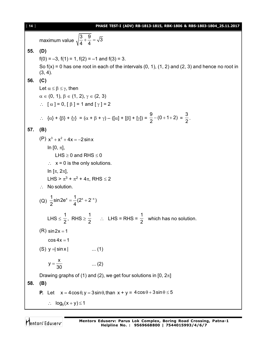[ **14** ] **PHASE TEST-I (ADV) RB-1813-1815, RBK-1806 & RBS-1803-1804\_25.11.2017** maximum value  $\sqrt{\frac{3}{4} + \frac{9}{4}} = \sqrt{3}$ 4 4  $+\frac{6}{4} = -$ **55. (D)**  $f(0) = -3$ ,  $f(1) = 1$ ,  $f(2) = -1$  and  $f(3) = 3$ . So  $f(x) = 0$  has one root in each of the intervals  $(0, 1)$ ,  $(1, 2)$  and  $(2, 3)$  and hence no root in (3, 4). **56. (C)** Let  $\alpha \leq \beta \leq \gamma$ , then  $\alpha \in (0, 1), \beta \in (1, 2), \gamma \in (2, 3)$  $\therefore$  [  $\alpha$  ] = 0, [  $\beta$  ] = 1 and [  $\gamma$  ] = 2  $\therefore \quad {\alpha} + {\beta} + {\gamma} = {\alpha + \beta + \gamma} - ([\alpha] + [\beta] + [\gamma]) =$  $\frac{9}{2}$  – (0 + 1 + 2)  $\frac{9}{2}$  - (0 + 1 + 2) =  $\frac{3}{2}$  $\frac{1}{2}$ . **57. (B)** (P)  $x^3 + x^2 + 4x = -2\sin x$ In  $[0, \pi]$ , LHS  $\geq$  0 and RHS  $\leq$  0  $\therefore$   $x = 0$  is the only solutions. In  $[\pi, 2\pi]$ , LHS >  $\pi^3$  +  $\pi^2$  + 4 $\pi$ , RHS  $\leq$  2  $\therefore$  No solution. (Q)  $\frac{1}{2}$ sin2e<sup>x</sup> =  $\frac{1}{4}$ (2<sup>x</sup> + 2<sup>-x</sup>) 2 4  $=\frac{1}{4}(2^{x}+2^{-x})$ LHS  $\leq$ 1  $\frac{1}{2}$ , RHS  $\ge$ 1  $\frac{1}{2}$   $\therefore$  LHS = RHS = 1  $\frac{1}{2}$  which has no solution.  $(R) sin 2x = 1$  $\cos 4x = 1$ (S)  $y = \sin x$  ... (1)  $y = \frac{x}{2}$  $=\frac{1}{30}$  ... (2) Drawing graphs of (1) and (2), we get four solutions in [0,  $2\pi$ ] **58. (B) P.** Let  $x = 4\cos\theta, y = 3\sin\theta, \text{than } x + y = 4\cos\theta + 3\sin\theta \le 5$  $\therefore$   $\log_5(x+y) \leq 1$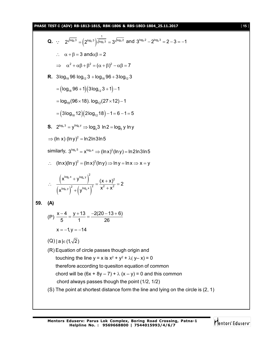**PHASE TEST-I (ADV) RB-1813-1815, RBK-1806 & RBS-1803-1804\_25.11.2017** [ **15** ]

Q. ∴ 
$$
2^{\sqrt{\log_b 3}} = (2^{\log_b 3})^{\frac{1}{\sqrt{\log_b 3}}} = 3^{\sqrt{\log_b 2}}
$$
 and  $3^{\log_b 2} - 2^{\log_b 3} = 2 - 3 = -1$   
\n∴  $\alpha + \beta = 3$  and  $\alpha\beta = 2$   
\n⇒  $\alpha^2 + \alpha\beta + \beta^2 = (\alpha + \beta)^2 - \alpha\beta = 7$   
\nR.  $3\log_{18} \theta 6 \log_{12} 3 + \log_{19} 96 + 3\log_{12} 3$   
\n $= (\log_{18} 96 + 1)(3\log_{12} 2 + 1) - 1$   
\n $= \log_{18}(96 \times 18). \log_{12}(27 \times 12) - 1$   
\n $= (3\log_{18} 12)(2\log_{12} 18) - 1 = 6 - 1 = 5$   
\nS.  $2^{\log_b 3} = \frac{y^{\log_b y}}{y \log y} = \log_a 3 \ln 2 = \log_a y \ln y$   
\n⇒ (ln x) (ln y)<sup>2</sup> = ln2ln3ln5  
\nsimilarity,  $3^{\log_b 5} = x^{\log_b x} = x(\ln x)^2(\ln y) = \ln 2\ln 3\ln 5$   
\n∴  $(\ln x)(\ln y)^2 = (\ln x)^2(\ln y) \Rightarrow \ln y = \ln x \Rightarrow x = y$   
\n∴  $\frac{\left(x^{\log_b x} + y^{\log_b x}\right)^2}{\left(x^{\log_b x}\right)^2 + \left(y^{\log_b x}\right)^2} = \frac{(x + x)^2}{x^2 + x^2} = 2$   
\n59. (A)  
\n(P)  $\frac{x - 4}{5} = \frac{y + 13}{1} = \frac{-2(20 - 13 + 6)}{26}$   
\n $x = -1, y = -14$   
\n(Q) | a |<sub>ε</sub> (1, √2)  
\n(R) Equation of circle passes through origin and  
\ntotoring the line y = x is  $x^2 + y^2 + \lambda(y - x) = 0$   
\ntherefore d with the equation of common  
\nchord always passes through the point (1/2, 1/2)  
\n(S

Mentors<sup>e</sup> Eduserv<sup>-</sup>